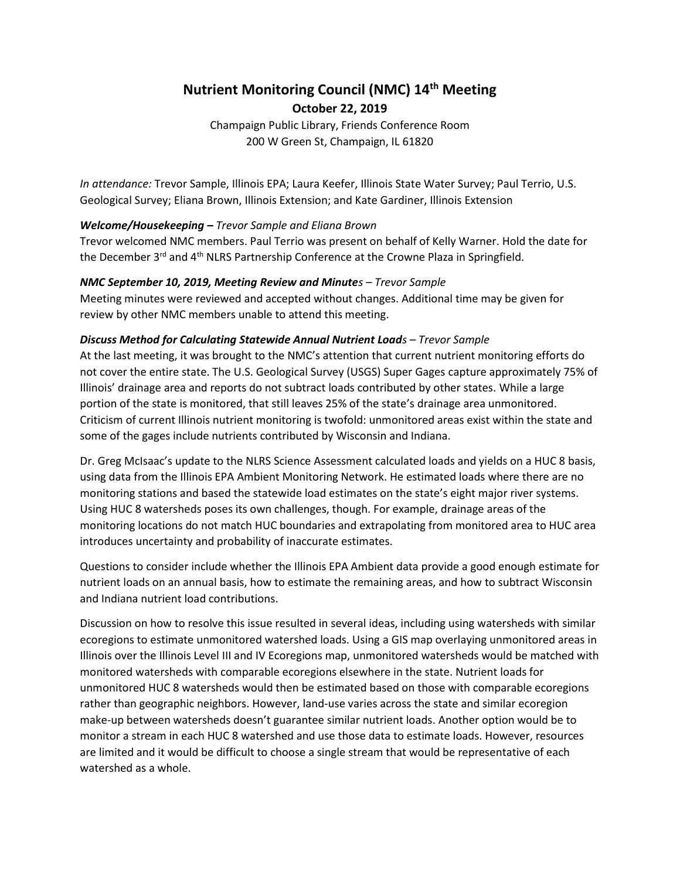# **Nutrient Monitoring Council (NMC) 14th Meeting October 22, 2019**

Champaign Public Library, Friends Conference Room 200 W Green St, Champaign, IL 61820

*In attendance:* Trevor Sample, Illinois EPA; Laura Keefer, Illinois State Water Survey; Paul Terrio, U.S. Geological Survey; Eliana Brown, Illinois Extension; and Kate Gardiner, Illinois Extension

## *Welcome/Housekeeping – Trevor Sample and Eliana Brown*

Trevor welcomed NMC members. Paul Terrio was present on behalf of Kelly Warner. Hold the date for the December 3<sup>rd</sup> and 4<sup>th</sup> NLRS Partnership Conference at the Crowne Plaza in Springfield.

## *NMC September 10, 2019, Meeting Review and Minutes – Trevor Sample*

Meeting minutes were reviewed and accepted without changes. Additional time may be given for review by other NMC members unable to attend this meeting.

# *Discuss Method for Calculating Statewide Annual Nutrient Loads – Trevor Sample*

At the last meeting, it was brought to the NMC's attention that current nutrient monitoring efforts do not cover the entire state. The U.S. Geological Survey (USGS) Super Gages capture approximately 75% of Illinois' drainage area and reports do not subtract loads contributed by other states. While a large portion of the state is monitored, that still leaves 25% of the state's drainage area unmonitored. Criticism of current Illinois nutrient monitoring is twofold: unmonitored areas exist within the state and some of the gages include nutrients contributed by Wisconsin and Indiana.

Dr. Greg McIsaac's update to the NLRS Science Assessment calculated loads and yields on a HUC 8 basis, using data from the Illinois EPA Ambient Monitoring Network. He estimated loads where there are no monitoring stations and based the statewide load estimates on the state's eight major river systems. Using HUC 8 watersheds poses its own challenges, though. For example, drainage areas of the monitoring locations do not match HUC boundaries and extrapolating from monitored area to HUC area introduces uncertainty and probability of inaccurate estimates.

Questions to consider include whether the Illinois EPA Ambient data provide a good enough estimate for nutrient loads on an annual basis, how to estimate the remaining areas, and how to subtract Wisconsin and Indiana nutrient load contributions.

Discussion on how to resolve this issue resulted in several ideas, including using watersheds with similar ecoregions to estimate unmonitored watershed loads. Using a GIS map overlaying unmonitored areas in Illinois over the Illinois Level III and IV Ecoregions map, unmonitored watersheds would be matched with monitored watersheds with comparable ecoregions elsewhere in the state. Nutrient loads for unmonitored HUC 8 watersheds would then be estimated based on those with comparable ecoregions rather than geographic neighbors. However, land-use varies across the state and similar ecoregion make-up between watersheds doesn't guarantee similar nutrient loads. Another option would be to monitor a stream in each HUC 8 watershed and use those data to estimate loads. However, resources are limited and it would be difficult to choose a single stream that would be representative of each watershed as a whole.